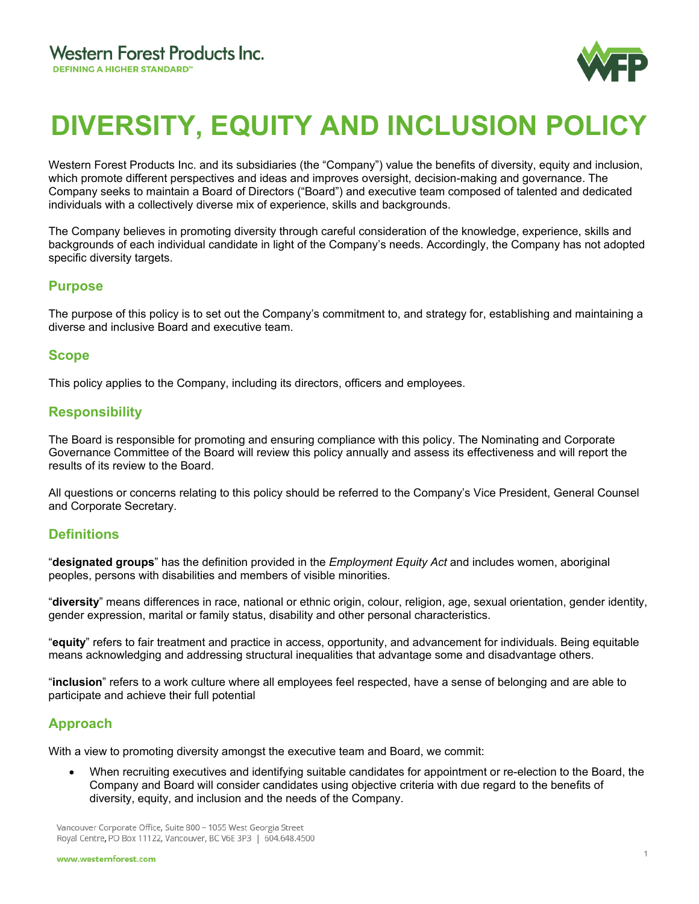

# **DIVERSITY, EQUITY AND INCLUSION POLICY**

Western Forest Products Inc. and its subsidiaries (the "Company") value the benefits of diversity, equity and inclusion, which promote different perspectives and ideas and improves oversight, decision-making and governance. The Company seeks to maintain a Board of Directors ("Board") and executive team composed of talented and dedicated individuals with a collectively diverse mix of experience, skills and backgrounds.

The Company believes in promoting diversity through careful consideration of the knowledge, experience, skills and backgrounds of each individual candidate in light of the Company's needs. Accordingly, the Company has not adopted specific diversity targets.

### **Purpose**

The purpose of this policy is to set out the Company's commitment to, and strategy for, establishing and maintaining a diverse and inclusive Board and executive team.

#### **Scope**

This policy applies to the Company, including its directors, officers and employees.

#### **Responsibility**

The Board is responsible for promoting and ensuring compliance with this policy. The Nominating and Corporate Governance Committee of the Board will review this policy annually and assess its effectiveness and will report the results of its review to the Board.

All questions or concerns relating to this policy should be referred to the Company's Vice President, General Counsel and Corporate Secretary.

## **Definitions**

"**designated groups**" has the definition provided in the *Employment Equity Act* and includes women, aboriginal peoples, persons with disabilities and members of visible minorities.

"**diversity**" means differences in race, national or ethnic origin, colour, religion, age, sexual orientation, gender identity, gender expression, marital or family status, disability and other personal characteristics.

"**equity**" refers to fair treatment and practice in access, opportunity, and advancement for individuals. Being equitable means acknowledging and addressing structural inequalities that advantage some and disadvantage others.

"**inclusion**" refers to a work culture where all employees feel respected, have a sense of belonging and are able to participate and achieve their full potential

#### **Approach**

With a view to promoting diversity amongst the executive team and Board, we commit:

• When recruiting executives and identifying suitable candidates for appointment or re-election to the Board, the Company and Board will consider candidates using objective criteria with due regard to the benefits of diversity, equity, and inclusion and the needs of the Company.

Vancouver Corporate Office, Suite 800 - 1055 West Georgia Street Royal Centre, PO Box 11122, Vancouver, BC V6E 3P3 | 604.648.4500